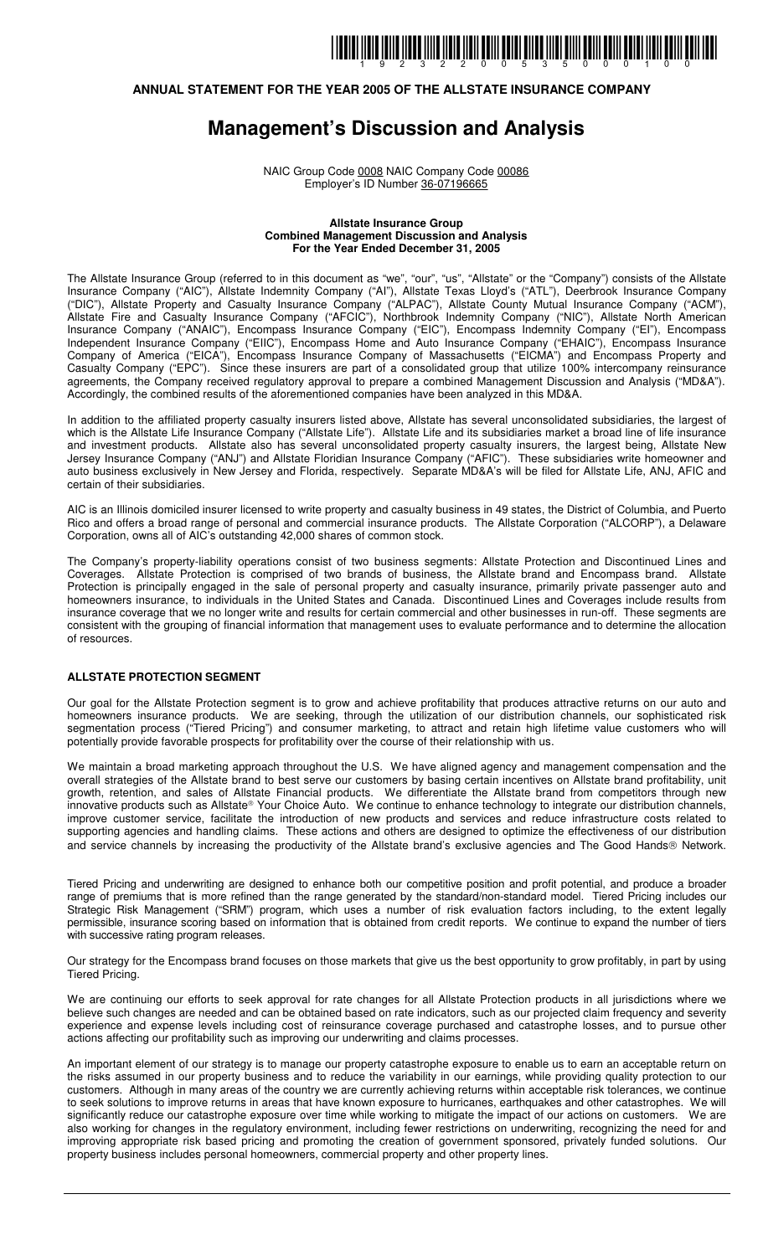### **ANNUAL STATEMENT FOR THE YEAR 2005 OF THE ALLSTATE INSURANCE COMPANY**

## **Management's Discussion and Analysis**

NAIC Group Code 0008 NAIC Company Code 00086 Employer's ID Number 36-07196665

#### **Allstate Insurance Group Combined Management Discussion and Analysis For the Year Ended December 31, 2005**

The Allstate Insurance Group (referred to in this document as "we", "our", "us", "Allstate" or the "Company") consists of the Allstate Insurance Company ("AIC"), Allstate Indemnity Company ("AI"), Allstate Texas Lloyd's ("ATL"), Deerbrook Insurance Company ("DIC"), Allstate Property and Casualty Insurance Company ("ALPAC"), Allstate County Mutual Insurance Company ("ACM"), Allstate Fire and Casualty Insurance Company ("AFCIC"), Northbrook Indemnity Company ("NIC"), Allstate North American Insurance Company ("ANAIC"), Encompass Insurance Company ("EIC"), Encompass Indemnity Company ("EI"), Encompass Independent Insurance Company ("EIIC"), Encompass Home and Auto Insurance Company ("EHAIC"), Encompass Insurance Company of America ("EICA"), Encompass Insurance Company of Massachusetts ("EICMA") and Encompass Property and Casualty Company ("EPC"). Since these insurers are part of a consolidated group that utilize 100% intercompany reinsurance agreements, the Company received regulatory approval to prepare a combined Management Discussion and Analysis ("MD&A"). Accordingly, the combined results of the aforementioned companies have been analyzed in this MD&A.

In addition to the affiliated property casualty insurers listed above, Allstate has several unconsolidated subsidiaries, the largest of which is the Allstate Life Insurance Company ("Allstate Life"). Allstate Life and its subsidiaries market a broad line of life insurance and investment products. Allstate also has several unconsolidated property casualty insurers, the largest being, Allstate New Jersey Insurance Company ("ANJ") and Allstate Floridian Insurance Company ("AFIC"). These subsidiaries write homeowner and auto business exclusively in New Jersey and Florida, respectively. Separate MD&A's will be filed for Allstate Life, ANJ, AFIC and certain of their subsidiaries.

AIC is an Illinois domiciled insurer licensed to write property and casualty business in 49 states, the District of Columbia, and Puerto Rico and offers a broad range of personal and commercial insurance products. The Allstate Corporation ("ALCORP"), a Delaware Corporation, owns all of AIC's outstanding 42,000 shares of common stock.

The Company's property-liability operations consist of two business segments: Allstate Protection and Discontinued Lines and Coverages. Allstate Protection is comprised of two brands of business, the Allstate brand and Encompass brand. Allstate Protection is principally engaged in the sale of personal property and casualty insurance, primarily private passenger auto and homeowners insurance, to individuals in the United States and Canada. Discontinued Lines and Coverages include results from insurance coverage that we no longer write and results for certain commercial and other businesses in run-off. These segments are consistent with the grouping of financial information that management uses to evaluate performance and to determine the allocation of resources.

#### **ALLSTATE PROTECTION SEGMENT**

Our goal for the Allstate Protection segment is to grow and achieve profitability that produces attractive returns on our auto and homeowners insurance products. We are seeking, through the utilization of our distribution channels, our sophisticated risk segmentation process ("Tiered Pricing") and consumer marketing, to attract and retain high lifetime value customers who will potentially provide favorable prospects for profitability over the course of their relationship with us.

We maintain a broad marketing approach throughout the U.S. We have aligned agency and management compensation and the overall strategies of the Allstate brand to best serve our customers by basing certain incentives on Allstate brand profitability, unit growth, retention, and sales of Allstate Financial products. We differentiate the Allstate brand from competitors through new innovative products such as Allstate® Your Choice Auto. We continue to enhance technology to integrate our distribution channels, improve customer service, facilitate the introduction of new products and services and reduce infrastructure costs related to supporting agencies and handling claims. These actions and others are designed to optimize the effectiveness of our distribution and service channels by increasing the productivity of the Allstate brand's exclusive agencies and The Good Hands® Network.

Tiered Pricing and underwriting are designed to enhance both our competitive position and profit potential, and produce a broader range of premiums that is more refined than the range generated by the standard/non-standard model. Tiered Pricing includes our Strategic Risk Management ("SRM") program, which uses a number of risk evaluation factors including, to the extent legally permissible, insurance scoring based on information that is obtained from credit reports. We continue to expand the number of tiers with successive rating program releases.

Our strategy for the Encompass brand focuses on those markets that give us the best opportunity to grow profitably, in part by using Tiered Pricing.

We are continuing our efforts to seek approval for rate changes for all Allstate Protection products in all jurisdictions where we believe such changes are needed and can be obtained based on rate indicators, such as our projected claim frequency and severity experience and expense levels including cost of reinsurance coverage purchased and catastrophe losses, and to pursue other actions affecting our profitability such as improving our underwriting and claims processes.

An important element of our strategy is to manage our property catastrophe exposure to enable us to earn an acceptable return on the risks assumed in our property business and to reduce the variability in our earnings, while providing quality protection to our customers. Although in many areas of the country we are currently achieving returns within acceptable risk tolerances, we continue to seek solutions to improve returns in areas that have known exposure to hurricanes, earthquakes and other catastrophes. We will significantly reduce our catastrophe exposure over time while working to mitigate the impact of our actions on customers. We are also working for changes in the regulatory environment, including fewer restrictions on underwriting, recognizing the need for and improving appropriate risk based pricing and promoting the creation of government sponsored, privately funded solutions. Our property business includes personal homeowners, commercial property and other property lines.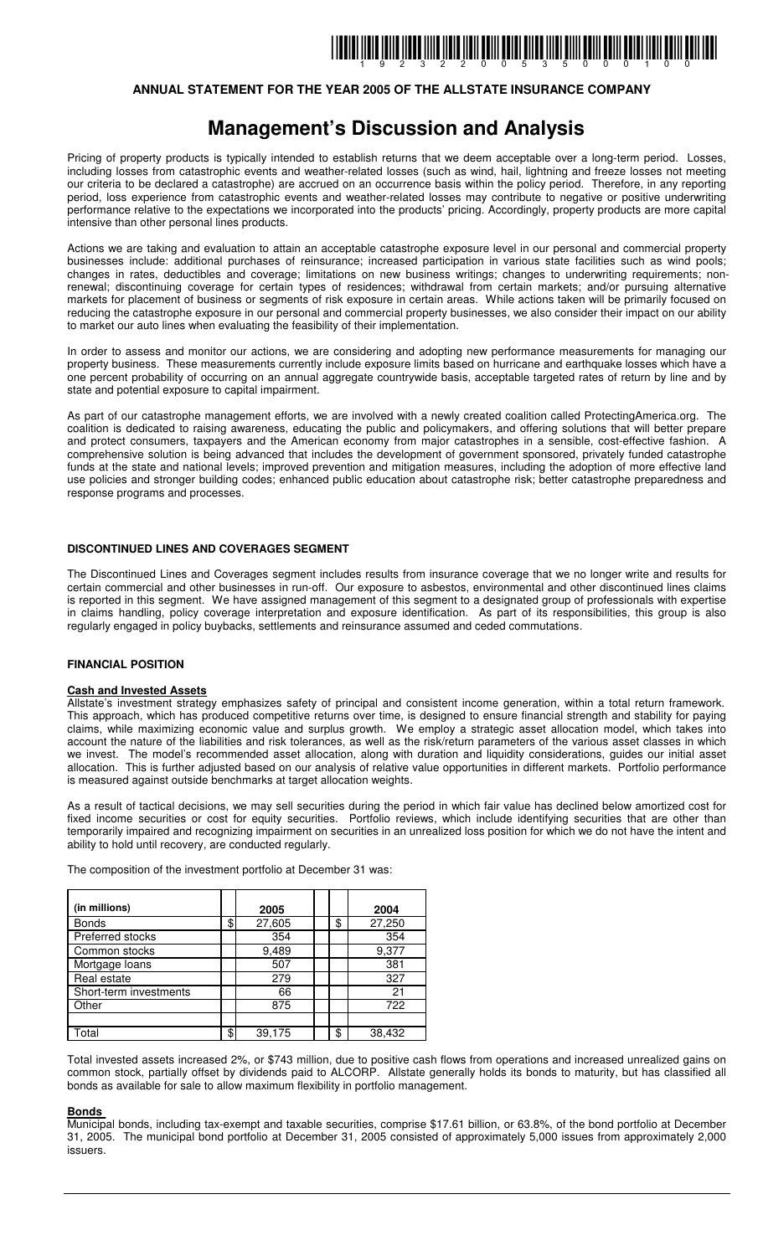### **ANNUAL STATEMENT FOR THE YEAR 2005 OF THE ALLSTATE INSURANCE COMPANY**

## **Management's Discussion and Analysis**

Pricing of property products is typically intended to establish returns that we deem acceptable over a long-term period. Losses, including losses from catastrophic events and weather-related losses (such as wind, hail, lightning and freeze losses not meeting our criteria to be declared a catastrophe) are accrued on an occurrence basis within the policy period. Therefore, in any reporting period, loss experience from catastrophic events and weather-related losses may contribute to negative or positive underwriting performance relative to the expectations we incorporated into the products' pricing. Accordingly, property products are more capital intensive than other personal lines products.

Actions we are taking and evaluation to attain an acceptable catastrophe exposure level in our personal and commercial property businesses include: additional purchases of reinsurance; increased participation in various state facilities such as wind pools; changes in rates, deductibles and coverage; limitations on new business writings; changes to underwriting requirements; nonrenewal; discontinuing coverage for certain types of residences; withdrawal from certain markets; and/or pursuing alternative markets for placement of business or segments of risk exposure in certain areas. While actions taken will be primarily focused on reducing the catastrophe exposure in our personal and commercial property businesses, we also consider their impact on our ability to market our auto lines when evaluating the feasibility of their implementation.

In order to assess and monitor our actions, we are considering and adopting new performance measurements for managing our property business. These measurements currently include exposure limits based on hurricane and earthquake losses which have a one percent probability of occurring on an annual aggregate countrywide basis, acceptable targeted rates of return by line and by state and potential exposure to capital impairment.

As part of our catastrophe management efforts, we are involved with a newly created coalition called ProtectingAmerica.org. The coalition is dedicated to raising awareness, educating the public and policymakers, and offering solutions that will better prepare and protect consumers, taxpayers and the American economy from major catastrophes in a sensible, cost-effective fashion. A comprehensive solution is being advanced that includes the development of government sponsored, privately funded catastrophe funds at the state and national levels; improved prevention and mitigation measures, including the adoption of more effective land use policies and stronger building codes; enhanced public education about catastrophe risk; better catastrophe preparedness and response programs and processes.

#### **DISCONTINUED LINES AND COVERAGES SEGMENT**

The Discontinued Lines and Coverages segment includes results from insurance coverage that we no longer write and results for certain commercial and other businesses in run-off. Our exposure to asbestos, environmental and other discontinued lines claims is reported in this segment. We have assigned management of this segment to a designated group of professionals with expertise in claims handling, policy coverage interpretation and exposure identification. As part of its responsibilities, this group is also regularly engaged in policy buybacks, settlements and reinsurance assumed and ceded commutations.

#### **FINANCIAL POSITION**

#### **Cash and Invested Assets**

Allstate's investment strategy emphasizes safety of principal and consistent income generation, within a total return framework. This approach, which has produced competitive returns over time, is designed to ensure financial strength and stability for paying claims, while maximizing economic value and surplus growth. We employ a strategic asset allocation model, which takes into account the nature of the liabilities and risk tolerances, as well as the risk/return parameters of the various asset classes in which we invest. The model's recommended asset allocation, along with duration and liquidity considerations, guides our initial asset allocation. This is further adjusted based on our analysis of relative value opportunities in different markets. Portfolio performance is measured against outside benchmarks at target allocation weights.

As a result of tactical decisions, we may sell securities during the period in which fair value has declined below amortized cost for fixed income securities or cost for equity securities. Portfolio reviews, which include identifying securities that are other than temporarily impaired and recognizing impairment on securities in an unrealized loss position for which we do not have the intent and ability to hold until recovery, are conducted regularly.

The composition of the investment portfolio at December 31 was:

| (in millions)           | 2005         |    | 2004   |
|-------------------------|--------------|----|--------|
| <b>Bonds</b>            | \$<br>27,605 | \$ | 27,250 |
| <b>Preferred stocks</b> | 354          |    | 354    |
| Common stocks           | 9,489        |    | 9,377  |
| Mortgage loans          | 507          |    | 381    |
| Real estate             | 279          |    | 327    |
| Short-term investments  | 66           |    | 21     |
| Other                   | 875          |    | 722    |
|                         |              |    |        |
| Total                   | \$<br>39,175 | \$ | 38,432 |

Total invested assets increased 2%, or \$743 million, due to positive cash flows from operations and increased unrealized gains on common stock, partially offset by dividends paid to ALCORP. Allstate generally holds its bonds to maturity, but has classified all bonds as available for sale to allow maximum flexibility in portfolio management.

#### **Bonds**

Municipal bonds, including tax-exempt and taxable securities, comprise \$17.61 billion, or 63.8%, of the bond portfolio at December 31, 2005. The municipal bond portfolio at December 31, 2005 consisted of approximately 5,000 issues from approximately 2,000 issuers.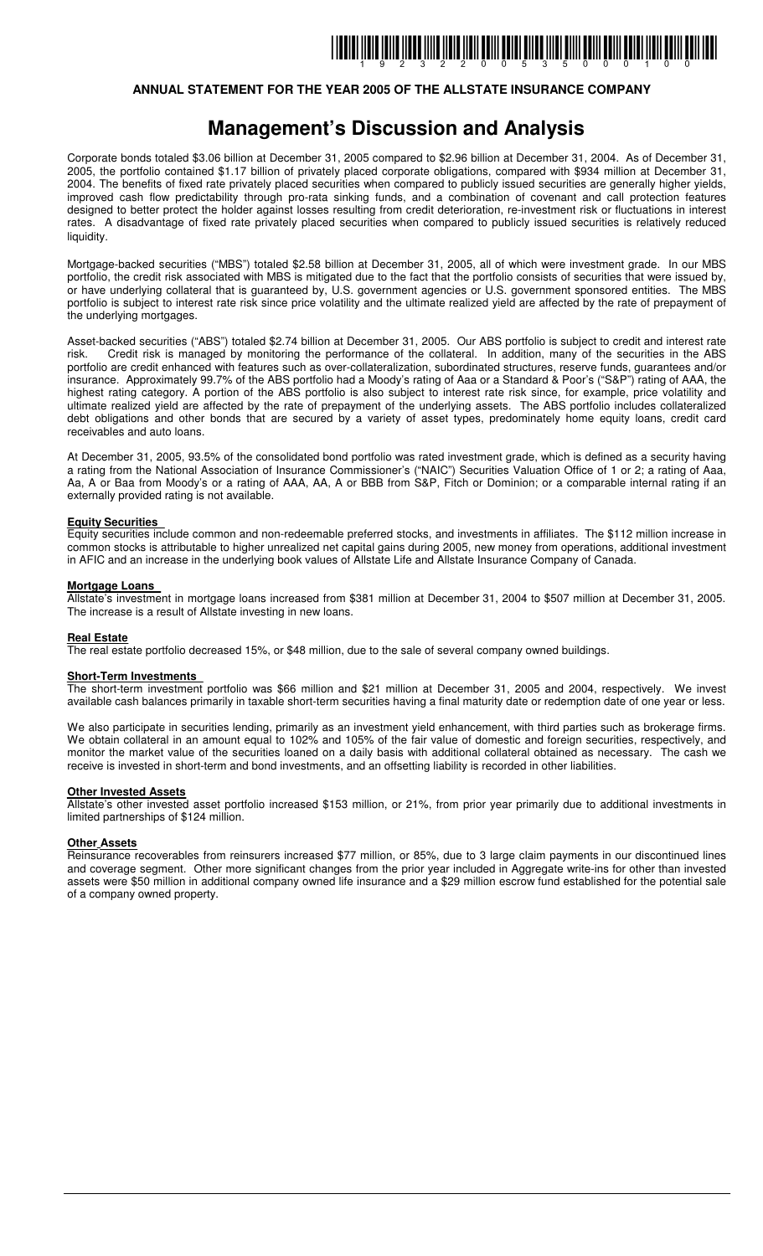### **ANNUAL STATEMENT FOR THE YEAR 2005 OF THE ALLSTATE INSURANCE COMPANY**

## **Management's Discussion and Analysis**

Corporate bonds totaled \$3.06 billion at December 31, 2005 compared to \$2.96 billion at December 31, 2004. As of December 31, 2005, the portfolio contained \$1.17 billion of privately placed corporate obligations, compared with \$934 million at December 31, 2004. The benefits of fixed rate privately placed securities when compared to publicly issued securities are generally higher yields, improved cash flow predictability through pro-rata sinking funds, and a combination of covenant and call protection features designed to better protect the holder against losses resulting from credit deterioration, re-investment risk or fluctuations in interest rates. A disadvantage of fixed rate privately placed securities when compared to publicly issued securities is relatively reduced liquidity.

Mortgage-backed securities ("MBS") totaled \$2.58 billion at December 31, 2005, all of which were investment grade. In our MBS portfolio, the credit risk associated with MBS is mitigated due to the fact that the portfolio consists of securities that were issued by, or have underlying collateral that is guaranteed by, U.S. government agencies or U.S. government sponsored entities. The MBS portfolio is subject to interest rate risk since price volatility and the ultimate realized yield are affected by the rate of prepayment of the underlying mortgages.

Asset-backed securities ("ABS") totaled \$2.74 billion at December 31, 2005. Our ABS portfolio is subject to credit and interest rate risk. Credit risk is managed by monitoring the performance of the collateral. In addition, many of the securities in the ABS portfolio are credit enhanced with features such as over-collateralization, subordinated structures, reserve funds, guarantees and/or insurance. Approximately 99.7% of the ABS portfolio had a Moody's rating of Aaa or a Standard & Poor's ("S&P") rating of AAA, the highest rating category. A portion of the ABS portfolio is also subject to interest rate risk since, for example, price volatility and ultimate realized yield are affected by the rate of prepayment of the underlying assets. The ABS portfolio includes collateralized debt obligations and other bonds that are secured by a variety of asset types, predominately home equity loans, credit card receivables and auto loans.

At December 31, 2005, 93.5% of the consolidated bond portfolio was rated investment grade, which is defined as a security having a rating from the National Association of Insurance Commissioner's ("NAIC") Securities Valuation Office of 1 or 2; a rating of Aaa, Aa, A or Baa from Moody's or a rating of AAA, AA, A or BBB from S&P, Fitch or Dominion; or a comparable internal rating if an externally provided rating is not available.

#### **Equity Securities**

Equity securities include common and non-redeemable preferred stocks, and investments in affiliates. The \$112 million increase in common stocks is attributable to higher unrealized net capital gains during 2005, new money from operations, additional investment in AFIC and an increase in the underlying book values of Allstate Life and Allstate Insurance Company of Canada.

#### **Mortgage Loans**

Allstate's investment in mortgage loans increased from \$381 million at December 31, 2004 to \$507 million at December 31, 2005. The increase is a result of Allstate investing in new loans.

#### **Real Estate**

The real estate portfolio decreased 15%, or \$48 million, due to the sale of several company owned buildings.

#### **Short-Term Investments**

The short-term investment portfolio was \$66 million and \$21 million at December 31, 2005 and 2004, respectively. We invest available cash balances primarily in taxable short-term securities having a final maturity date or redemption date of one year or less.

We also participate in securities lending, primarily as an investment yield enhancement, with third parties such as brokerage firms. We obtain collateral in an amount equal to 102% and 105% of the fair value of domestic and foreign securities, respectively, and monitor the market value of the securities loaned on a daily basis with additional collateral obtained as necessary. The cash we receive is invested in short-term and bond investments, and an offsetting liability is recorded in other liabilities.

#### **Other Invested Assets**

Allstate's other invested asset portfolio increased \$153 million, or 21%, from prior year primarily due to additional investments in limited partnerships of \$124 million.

#### **Other Assets**

Reinsurance recoverables from reinsurers increased \$77 million, or 85%, due to 3 large claim payments in our discontinued lines and coverage segment. Other more significant changes from the prior year included in Aggregate write-ins for other than invested assets were \$50 million in additional company owned life insurance and a \$29 million escrow fund established for the potential sale of a company owned property.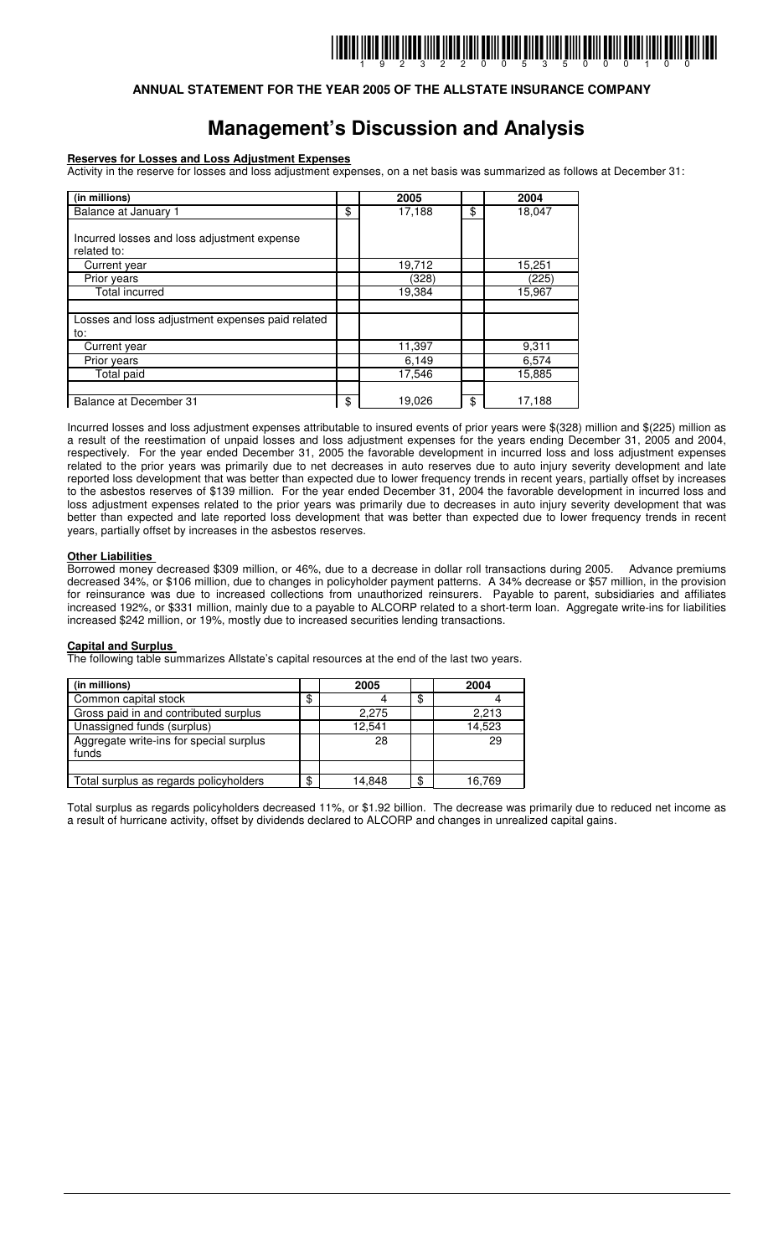### **ANNUAL STATEMENT FOR THE YEAR 2005 OF THE ALLSTATE INSURANCE COMPANY**

## **Management's Discussion and Analysis**

#### **Reserves for Losses and Loss Adjustment Expenses**

Activity in the reserve for losses and loss adjustment expenses, on a net basis was summarized as follows at December 31:

| (in millions)                                              | 2005         | 2004         |
|------------------------------------------------------------|--------------|--------------|
| Balance at January 1                                       | \$<br>17,188 | \$<br>18,047 |
| Incurred losses and loss adjustment expense<br>related to: |              |              |
| Current year                                               | 19,712       | 15,251       |
| Prior years                                                | (328)        | (225)        |
| <b>Total incurred</b>                                      | 19,384       | 15,967       |
|                                                            |              |              |
| Losses and loss adjustment expenses paid related           |              |              |
| to:                                                        |              |              |
| Current year                                               | 11,397       | 9,311        |
| Prior years                                                | 6,149        | 6,574        |
| Total paid                                                 | 17,546       | 15,885       |
|                                                            |              |              |
| Balance at December 31                                     | \$<br>19,026 | \$<br>17,188 |

Incurred losses and loss adjustment expenses attributable to insured events of prior years were \$(328) million and \$(225) million as a result of the reestimation of unpaid losses and loss adjustment expenses for the years ending December 31, 2005 and 2004, respectively. For the year ended December 31, 2005 the favorable development in incurred loss and loss adjustment expenses related to the prior years was primarily due to net decreases in auto reserves due to auto injury severity development and late reported loss development that was better than expected due to lower frequency trends in recent years, partially offset by increases to the asbestos reserves of \$139 million. For the year ended December 31, 2004 the favorable development in incurred loss and loss adjustment expenses related to the prior years was primarily due to decreases in auto injury severity development that was better than expected and late reported loss development that was better than expected due to lower frequency trends in recent years, partially offset by increases in the asbestos reserves.

#### **Other Liabilities**

Borrowed money decreased \$309 million, or 46%, due to a decrease in dollar roll transactions during 2005. Advance premiums decreased 34%, or \$106 million, due to changes in policyholder payment patterns. A 34% decrease or \$57 million, in the provision for reinsurance was due to increased collections from unauthorized reinsurers. Payable to parent, subsidiaries and affiliates increased 192%, or \$331 million, mainly due to a payable to ALCORP related to a short-term loan. Aggregate write-ins for liabilities increased \$242 million, or 19%, mostly due to increased securities lending transactions.

#### **Capital and Surplus**

The following table summarizes Allstate's capital resources at the end of the last two years.

| (in millions)                                    | 2005         | 2004         |
|--------------------------------------------------|--------------|--------------|
| Common capital stock                             | \$           | \$           |
| Gross paid in and contributed surplus            | 2.275        | 2,213        |
| Unassigned funds (surplus)                       | 12.541       | 14,523       |
| Aggregate write-ins for special surplus<br>funds | 28           | 29           |
|                                                  |              |              |
| Total surplus as regards policyholders           | \$<br>14.848 | \$<br>16,769 |

Total surplus as regards policyholders decreased 11%, or \$1.92 billion. The decrease was primarily due to reduced net income as a result of hurricane activity, offset by dividends declared to ALCORP and changes in unrealized capital gains.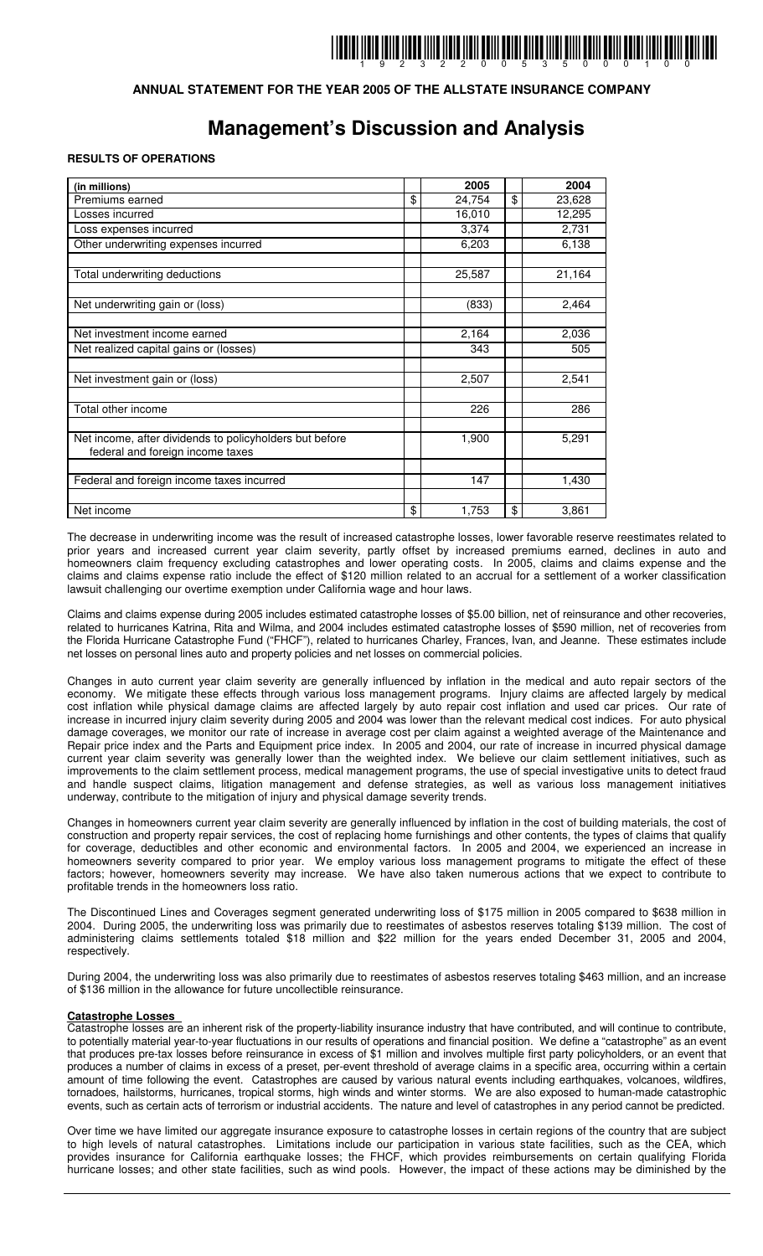### **ANNUAL STATEMENT FOR THE YEAR 2005 OF THE ALLSTATE INSURANCE COMPANY**

## **Management's Discussion and Analysis**

#### **RESULTS OF OPERATIONS**

| (in millions)                                                                               | 2005         | 2004         |
|---------------------------------------------------------------------------------------------|--------------|--------------|
| Premiums earned                                                                             | \$<br>24,754 | \$<br>23,628 |
| Losses incurred                                                                             | 16,010       | 12,295       |
| Loss expenses incurred                                                                      | 3,374        | 2,731        |
| Other underwriting expenses incurred                                                        | 6,203        | 6,138        |
|                                                                                             |              |              |
| Total underwriting deductions                                                               | 25,587       | 21,164       |
|                                                                                             |              |              |
| Net underwriting gain or (loss)                                                             | (833)        | 2,464        |
|                                                                                             |              |              |
| Net investment income earned                                                                | 2,164        | 2,036        |
| Net realized capital gains or (losses)                                                      | 343          | 505          |
|                                                                                             |              |              |
| Net investment gain or (loss)                                                               | 2,507        | 2,541        |
|                                                                                             |              |              |
| Total other income                                                                          | 226          | 286          |
|                                                                                             |              |              |
| Net income, after dividends to policyholders but before<br>federal and foreign income taxes | 1,900        | 5,291        |
|                                                                                             |              |              |
| Federal and foreign income taxes incurred                                                   | 147          | 1,430        |
|                                                                                             |              |              |
| Net income                                                                                  | \$<br>1,753  | \$<br>3,861  |

The decrease in underwriting income was the result of increased catastrophe losses, lower favorable reserve reestimates related to prior years and increased current year claim severity, partly offset by increased premiums earned, declines in auto and homeowners claim frequency excluding catastrophes and lower operating costs. In 2005, claims and claims expense and the claims and claims expense ratio include the effect of \$120 million related to an accrual for a settlement of a worker classification lawsuit challenging our overtime exemption under California wage and hour laws.

Claims and claims expense during 2005 includes estimated catastrophe losses of \$5.00 billion, net of reinsurance and other recoveries, related to hurricanes Katrina, Rita and Wilma, and 2004 includes estimated catastrophe losses of \$590 million, net of recoveries from the Florida Hurricane Catastrophe Fund ("FHCF"), related to hurricanes Charley, Frances, Ivan, and Jeanne. These estimates include net losses on personal lines auto and property policies and net losses on commercial policies.

Changes in auto current year claim severity are generally influenced by inflation in the medical and auto repair sectors of the economy. We mitigate these effects through various loss management programs. Injury claims are affected largely by medical cost inflation while physical damage claims are affected largely by auto repair cost inflation and used car prices. Our rate of increase in incurred injury claim severity during 2005 and 2004 was lower than the relevant medical cost indices. For auto physical damage coverages, we monitor our rate of increase in average cost per claim against a weighted average of the Maintenance and Repair price index and the Parts and Equipment price index. In 2005 and 2004, our rate of increase in incurred physical damage current year claim severity was generally lower than the weighted index. We believe our claim settlement initiatives, such as improvements to the claim settlement process, medical management programs, the use of special investigative units to detect fraud and handle suspect claims, litigation management and defense strategies, as well as various loss management initiatives underway, contribute to the mitigation of injury and physical damage severity trends.

Changes in homeowners current year claim severity are generally influenced by inflation in the cost of building materials, the cost of construction and property repair services, the cost of replacing home furnishings and other contents, the types of claims that qualify for coverage, deductibles and other economic and environmental factors. In 2005 and 2004, we experienced an increase in homeowners severity compared to prior year. We employ various loss management programs to mitigate the effect of these factors; however, homeowners severity may increase. We have also taken numerous actions that we expect to contribute to profitable trends in the homeowners loss ratio.

The Discontinued Lines and Coverages segment generated underwriting loss of \$175 million in 2005 compared to \$638 million in 2004. During 2005, the underwriting loss was primarily due to reestimates of asbestos reserves totaling \$139 million. The cost of administering claims settlements totaled \$18 million and \$22 million for the years ended December 31, 2005 and 2004, respectively.

During 2004, the underwriting loss was also primarily due to reestimates of asbestos reserves totaling \$463 million, and an increase of \$136 million in the allowance for future uncollectible reinsurance.

#### **Catastrophe Losses**

Catastrophe losses are an inherent risk of the property-liability insurance industry that have contributed, and will continue to contribute, to potentially material year-to-year fluctuations in our results of operations and financial position. We define a "catastrophe" as an event that produces pre-tax losses before reinsurance in excess of \$1 million and involves multiple first party policyholders, or an event that produces a number of claims in excess of a preset, per-event threshold of average claims in a specific area, occurring within a certain amount of time following the event. Catastrophes are caused by various natural events including earthquakes, volcanoes, wildfires, tornadoes, hailstorms, hurricanes, tropical storms, high winds and winter storms. We are also exposed to human-made catastrophic events, such as certain acts of terrorism or industrial accidents. The nature and level of catastrophes in any period cannot be predicted.

Over time we have limited our aggregate insurance exposure to catastrophe losses in certain regions of the country that are subject to high levels of natural catastrophes. Limitations include our participation in various state facilities, such as the CEA, which provides insurance for California earthquake losses; the FHCF, which provides reimbursements on certain qualifying Florida hurricane losses; and other state facilities, such as wind pools. However, the impact of these actions may be diminished by the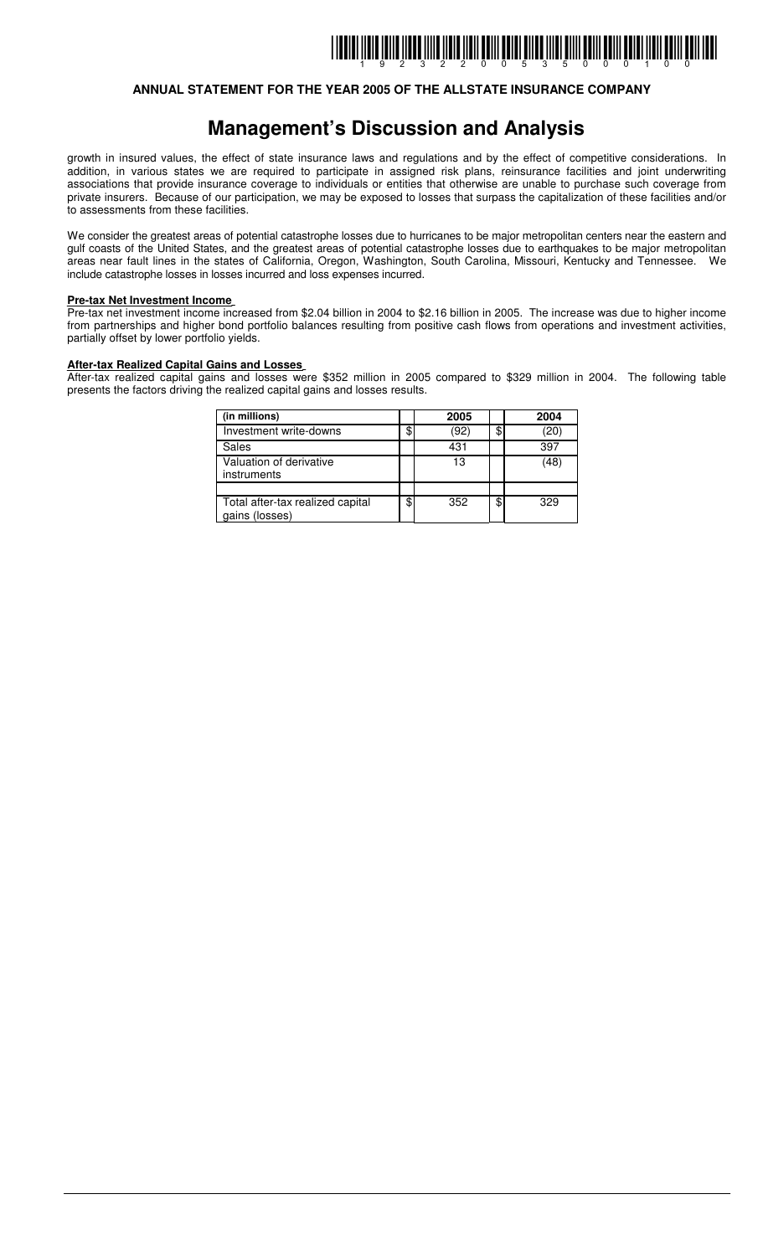### **ANNUAL STATEMENT FOR THE YEAR 2005 OF THE ALLSTATE INSURANCE COMPANY**

## **Management's Discussion and Analysis**

growth in insured values, the effect of state insurance laws and regulations and by the effect of competitive considerations. In addition, in various states we are required to participate in assigned risk plans, reinsurance facilities and joint underwriting associations that provide insurance coverage to individuals or entities that otherwise are unable to purchase such coverage from private insurers. Because of our participation, we may be exposed to losses that surpass the capitalization of these facilities and/or to assessments from these facilities.

We consider the greatest areas of potential catastrophe losses due to hurricanes to be major metropolitan centers near the eastern and gulf coasts of the United States, and the greatest areas of potential catastrophe losses due to earthquakes to be major metropolitan areas near fault lines in the states of California, Oregon, Washington, South Carolina, Missouri, Kentucky and Tennessee. We include catastrophe losses in losses incurred and loss expenses incurred.

#### **Pre-tax Net Investment Income**

Pre-tax net investment income increased from \$2.04 billion in 2004 to \$2.16 billion in 2005. The increase was due to higher income from partnerships and higher bond portfolio balances resulting from positive cash flows from operations and investment activities, partially offset by lower portfolio yields.

#### **After-tax Realized Capital Gains and Losses**

After-tax realized capital gains and losses were \$352 million in 2005 compared to \$329 million in 2004. The following table presents the factors driving the realized capital gains and losses results.

| (in millions)                                      | 2005       | 2004       |
|----------------------------------------------------|------------|------------|
| Investment write-downs                             | \$<br>(92) | \$<br>(20) |
| Sales                                              | 431        | 397        |
| Valuation of derivative<br>instruments             | 13         | (48)       |
|                                                    |            |            |
| Total after-tax realized capital<br>gains (losses) | \$<br>352  | \$<br>329  |